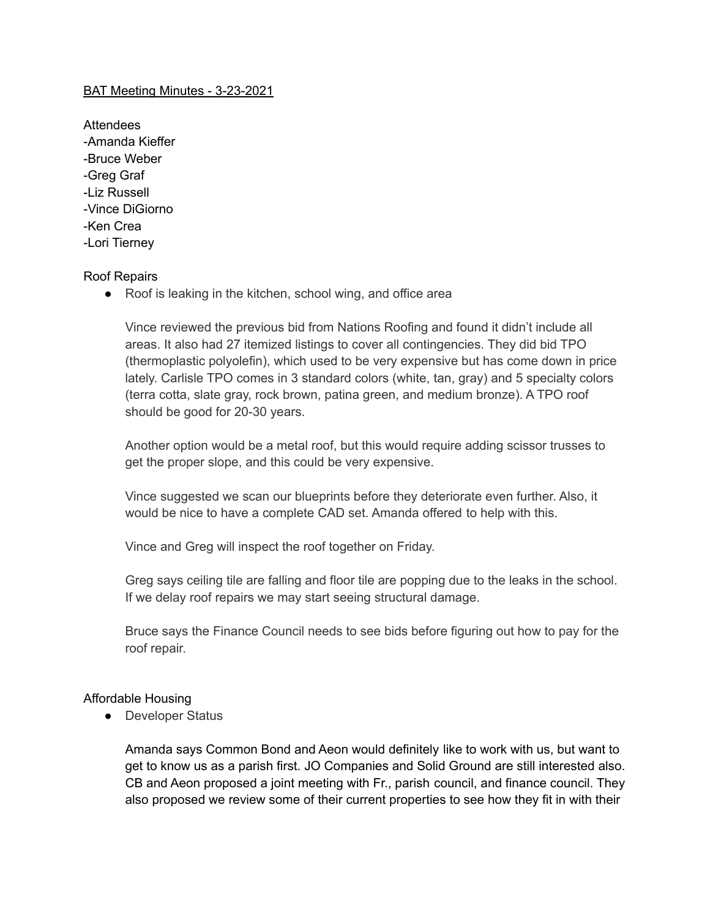# BAT Meeting Minutes - 3-23-2021

Attendees -Amanda Kieffer -Bruce Weber -Greg Graf -Liz Russell -Vince DiGiorno -Ken Crea -Lori Tierney

### Roof Repairs

● Roof is leaking in the kitchen, school wing, and office area

Vince reviewed the previous bid from Nations Roofing and found it didn't include all areas. It also had 27 itemized listings to cover all contingencies. They did bid TPO (thermoplastic polyolefin), which used to be very expensive but has come down in price lately. Carlisle TPO comes in 3 standard colors (white, tan, gray) and 5 specialty colors (terra cotta, slate gray, rock brown, patina green, and medium bronze). A TPO roof should be good for 20-30 years.

Another option would be a metal roof, but this would require adding scissor trusses to get the proper slope, and this could be very expensive.

Vince suggested we scan our blueprints before they deteriorate even further. Also, it would be nice to have a complete CAD set. Amanda offered to help with this.

Vince and Greg will inspect the roof together on Friday.

Greg says ceiling tile are falling and floor tile are popping due to the leaks in the school. If we delay roof repairs we may start seeing structural damage.

Bruce says the Finance Council needs to see bids before figuring out how to pay for the roof repair.

### Affordable Housing

● Developer Status

Amanda says Common Bond and Aeon would definitely like to work with us, but want to get to know us as a parish first. JO Companies and Solid Ground are still interested also. CB and Aeon proposed a joint meeting with Fr., parish council, and finance council. They also proposed we review some of their current properties to see how they fit in with their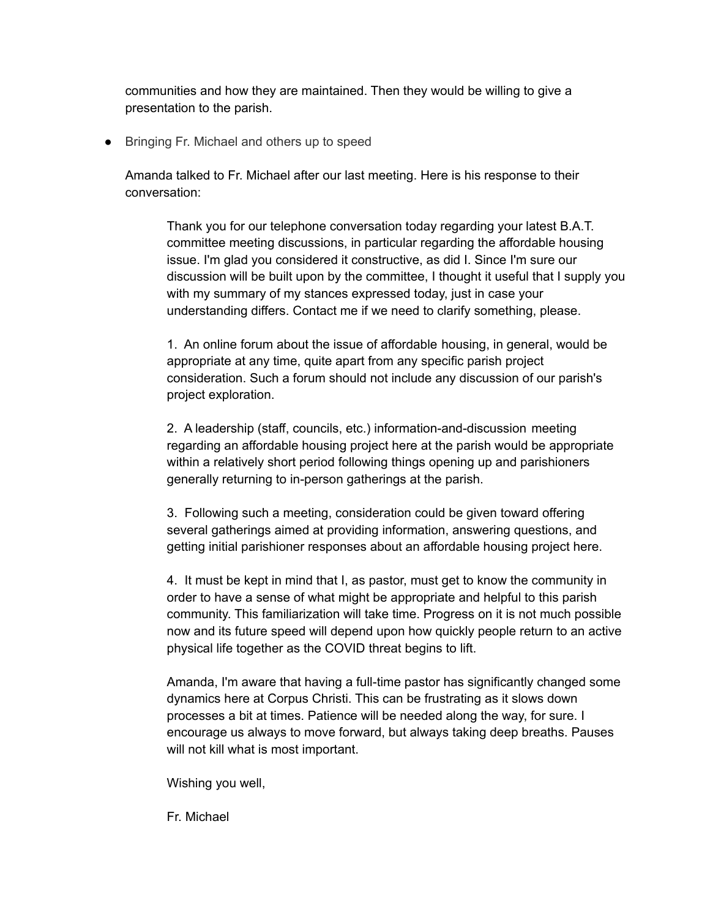communities and how they are maintained. Then they would be willing to give a presentation to the parish.

● Bringing Fr. Michael and others up to speed

Amanda talked to Fr. Michael after our last meeting. Here is his response to their conversation:

Thank you for our telephone conversation today regarding your latest B.A.T. committee meeting discussions, in particular regarding the affordable housing issue. I'm glad you considered it constructive, as did I. Since I'm sure our discussion will be built upon by the committee, I thought it useful that I supply you with my summary of my stances expressed today, just in case your understanding differs. Contact me if we need to clarify something, please.

1. An online forum about the issue of affordable housing, in general, would be appropriate at any time, quite apart from any specific parish project consideration. Such a forum should not include any discussion of our parish's project exploration.

2. A leadership (staff, councils, etc.) information-and-discussion meeting regarding an affordable housing project here at the parish would be appropriate within a relatively short period following things opening up and parishioners generally returning to in-person gatherings at the parish.

3. Following such a meeting, consideration could be given toward offering several gatherings aimed at providing information, answering questions, and getting initial parishioner responses about an affordable housing project here.

4. It must be kept in mind that I, as pastor, must get to know the community in order to have a sense of what might be appropriate and helpful to this parish community. This familiarization will take time. Progress on it is not much possible now and its future speed will depend upon how quickly people return to an active physical life together as the COVID threat begins to lift.

Amanda, I'm aware that having a full-time pastor has significantly changed some dynamics here at Corpus Christi. This can be frustrating as it slows down processes a bit at times. Patience will be needed along the way, for sure. I encourage us always to move forward, but always taking deep breaths. Pauses will not kill what is most important.

Wishing you well,

Fr. Michael